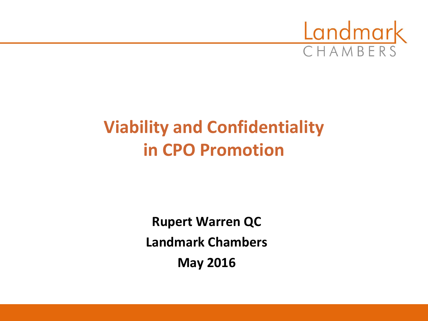

# **Viability and Confidentiality in CPO Promotion**

**Rupert Warren QC Landmark Chambers May 2016**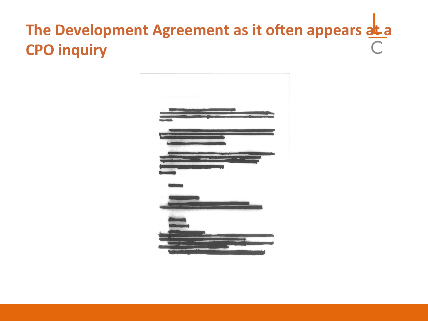# The Development Agreement as it often appears at a **CPO inquiry**

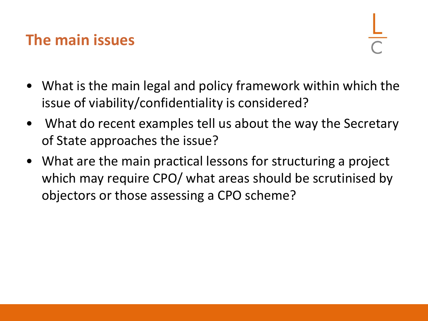## **The main issues**

- What is the main legal and policy framework within which the issue of viability/confidentiality is considered?
- What do recent examples tell us about the way the Secretary of State approaches the issue?
- What are the main practical lessons for structuring a project which may require CPO/ what areas should be scrutinised by objectors or those assessing a CPO scheme?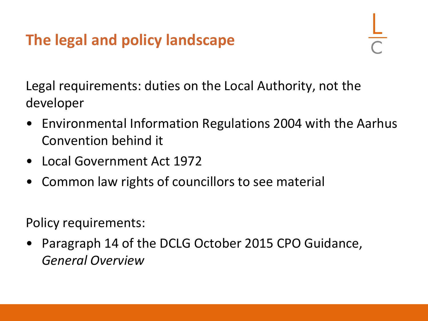# **The legal and policy landscape**

Legal requirements: duties on the Local Authority, not the developer

- Environmental Information Regulations 2004 with the Aarhus Convention behind it
- Local Government Act 1972
- Common law rights of councillors to see material

Policy requirements:

• Paragraph 14 of the DCLG October 2015 CPO Guidance, *General Overview*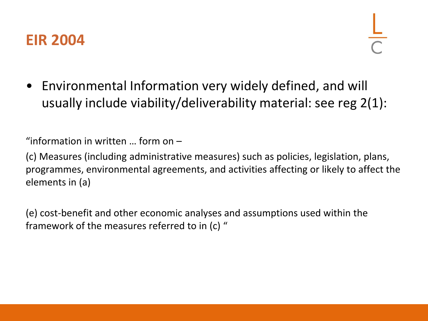

• Environmental Information very widely defined, and will usually include viability/deliverability material: see reg 2(1):

"information in written … form on –

(c) Measures (including administrative measures) such as policies, legislation, plans, programmes, environmental agreements, and activities affecting or likely to affect the elements in (a)

(e) cost-benefit and other economic analyses and assumptions used within the framework of the measures referred to in (c) "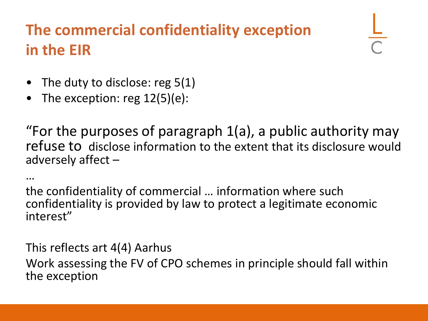# **The commercial confidentiality exception in the EIR**

- The duty to disclose: reg 5(1)
- The exception: reg  $12(5)(e)$ :

"For the purposes of paragraph 1(a), a public authority may refuse to disclose information to the extent that its disclosure would adversely affect –

…

the confidentiality of commercial … information where such confidentiality is provided by law to protect a legitimate economic interest"

This reflects art 4(4) Aarhus Work assessing the FV of CPO schemes in principle should fall within the exception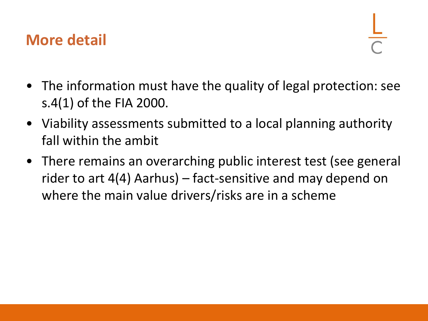#### **More detail**

- The information must have the quality of legal protection: see s.4(1) of the FIA 2000.
- Viability assessments submitted to a local planning authority fall within the ambit
- There remains an overarching public interest test (see general rider to art 4(4) Aarhus) – fact-sensitive and may depend on where the main value drivers/risks are in a scheme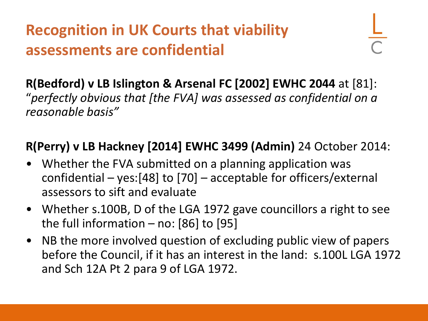# **Recognition in UK Courts that viability assessments are confidential**

**R(Bedford) v LB Islington & Arsenal FC [2002] EWHC 2044** at [81]: "*perfectly obvious that [the FVA] was assessed as confidential on a reasonable basis"*

#### **R(Perry) v LB Hackney [2014] EWHC 3499 (Admin)** 24 October 2014:

- Whether the FVA submitted on a planning application was confidential – yes:[48] to [70] – acceptable for officers/external assessors to sift and evaluate
- Whether s.100B, D of the LGA 1972 gave councillors a right to see the full information  $-$  no: [86] to [95]
- NB the more involved question of excluding public view of papers before the Council, if it has an interest in the land: s.100L LGA 1972 and Sch 12A Pt 2 para 9 of LGA 1972.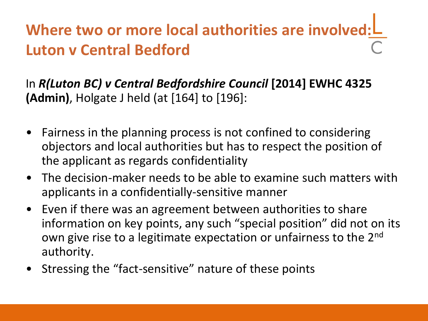# Where two or more local authorities are involved: L **Luton v Central Bedford**

In *R(Luton BC) v Central Bedfordshire Council* **[2014] EWHC 4325 (Admin)**, Holgate J held (at [164] to [196]:

- Fairness in the planning process is not confined to considering objectors and local authorities but has to respect the position of the applicant as regards confidentiality
- The decision-maker needs to be able to examine such matters with applicants in a confidentially-sensitive manner
- Even if there was an agreement between authorities to share information on key points, any such "special position" did not on its own give rise to a legitimate expectation or unfairness to the 2nd authority.
- Stressing the "fact-sensitive" nature of these points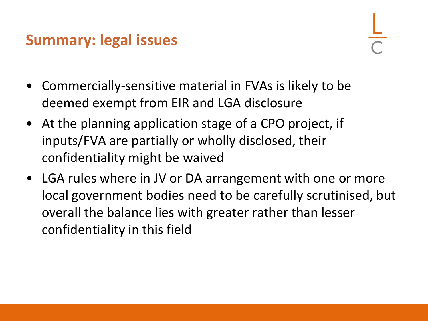### **Summary: legal issues**

- Commercially-sensitive material in FVAs is likely to be deemed exempt from EIR and LGA disclosure
- At the planning application stage of a CPO project, if inputs/FVA are partially or wholly disclosed, their confidentiality might be waived
- LGA rules where in JV or DA arrangement with one or more local government bodies need to be carefully scrutinised, but overall the balance lies with greater rather than lesser confidentiality in this field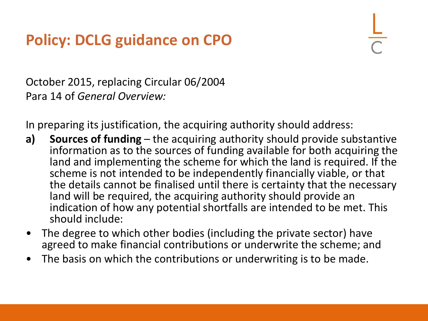# **Policy: DCLG guidance on CPO**

October 2015, replacing Circular 06/2004 Para 14 of *General Overview:*

In preparing its justification, the acquiring authority should address:

- **a) Sources of funding** the acquiring authority should provide substantive information as to the sources of funding available for both acquiring the land and implementing the scheme for which the land is required. If the scheme is not intended to be independently financially viable, or that the details cannot be finalised until there is certainty that the necessary land will be required, the acquiring authority should provide an indication of how any potential shortfalls are intended to be met. This should include:
- The degree to which other bodies (including the private sector) have agreed to make financial contributions or underwrite the scheme; and
- The basis on which the contributions or underwriting is to be made.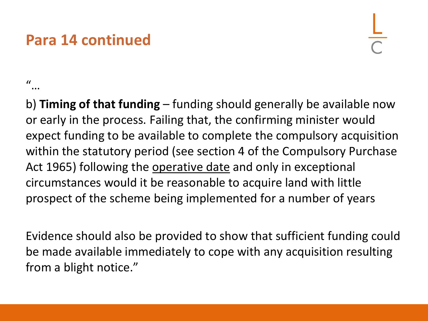## **Para 14 continued**

 $\mathcal{U}$ 

b) **Timing of that funding** – funding should generally be available now or early in the process. Failing that, the confirming minister would expect funding to be available to complete the compulsory acquisition within the statutory period (see section 4 of the Compulsory Purchase Act 1965) following the operative date and only in exceptional circumstances would it be reasonable to acquire land with little prospect of the scheme being implemented for a number of years

Evidence should also be provided to show that sufficient funding could be made available immediately to cope with any acquisition resulting from a blight notice."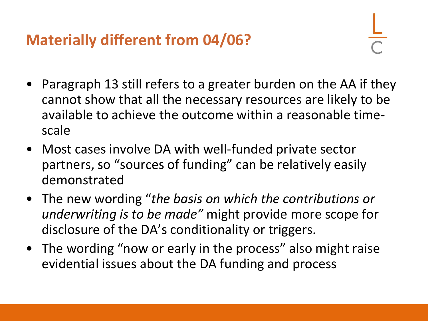**Materially different from 04/06?**

- Paragraph 13 still refers to a greater burden on the AA if they cannot show that all the necessary resources are likely to be available to achieve the outcome within a reasonable timescale
- Most cases involve DA with well-funded private sector partners, so "sources of funding" can be relatively easily demonstrated
- The new wording "*the basis on which the contributions or underwriting is to be made"* might provide more scope for disclosure of the DA's conditionality or triggers.
- The wording "now or early in the process" also might raise evidential issues about the DA funding and process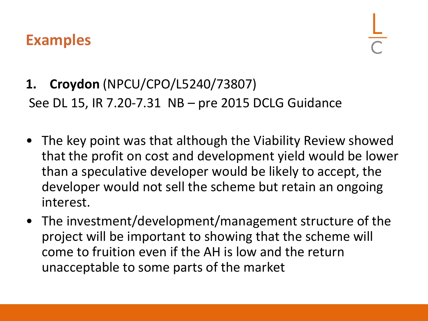#### **Examples**

# **1. Croydon** (NPCU/CPO/L5240/73807) See DL 15, IR 7.20-7.31 NB – pre 2015 DCLG Guidance

- The key point was that although the Viability Review showed that the profit on cost and development yield would be lower than a speculative developer would be likely to accept, the developer would not sell the scheme but retain an ongoing interest.
- The investment/development/management structure of the project will be important to showing that the scheme will come to fruition even if the AH is low and the return unacceptable to some parts of the market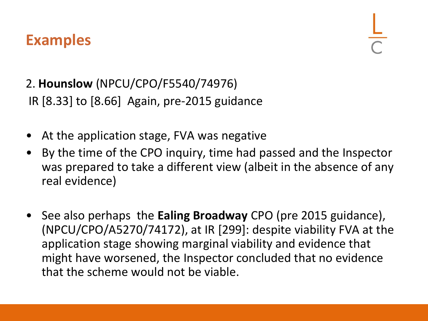#### **Examples**

#### 2. **Hounslow** (NPCU/CPO/F5540/74976) IR [8.33] to [8.66] Again, pre-2015 guidance

- At the application stage, FVA was negative
- By the time of the CPO inquiry, time had passed and the Inspector was prepared to take a different view (albeit in the absence of any real evidence)
- See also perhaps the **Ealing Broadway** CPO (pre 2015 guidance), (NPCU/CPO/A5270/74172), at IR [299]: despite viability FVA at the application stage showing marginal viability and evidence that might have worsened, the Inspector concluded that no evidence that the scheme would not be viable.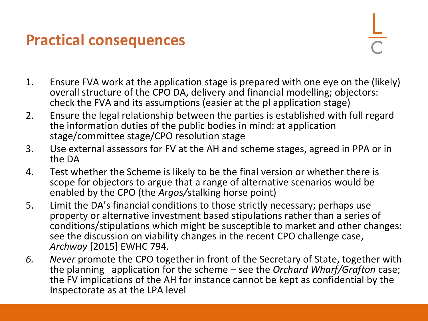### **Practical consequences**

- 1. Ensure FVA work at the application stage is prepared with one eye on the (likely) overall structure of the CPO DA, delivery and financial modelling; objectors: check the FVA and its assumptions (easier at the pl application stage)
- 2. Ensure the legal relationship between the parties is established with full regard the information duties of the public bodies in mind: at application stage/committee stage/CPO resolution stage
- 3. Use external assessors for FV at the AH and scheme stages, agreed in PPA or in the DA
- 4. Test whether the Scheme is likely to be the final version or whether there is scope for objectors to argue that a range of alternative scenarios would be enabled by the CPO (the *Argos/*stalking horse point)
- 5. Limit the DA's financial conditions to those strictly necessary; perhaps use property or alternative investment based stipulations rather than a series of conditions/stipulations which might be susceptible to market and other changes: see the discussion on viability changes in the recent CPO challenge case, *Archway* [2015] EWHC 794.
- *6. Never* promote the CPO together in front of the Secretary of State, together with the planning application for the scheme – see the *Orchard Wharf/Grafton* case; the FV implications of the AH for instance cannot be kept as confidential by the Inspectorate as at the LPA level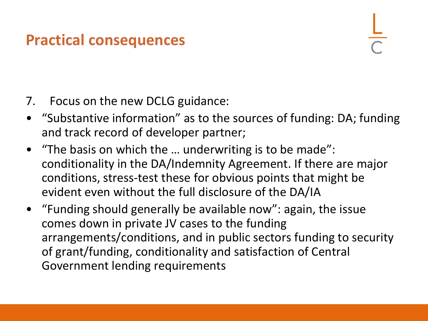## **Practical consequences**

- 7. Focus on the new DCLG guidance:
- "Substantive information" as to the sources of funding: DA; funding and track record of developer partner;
- "The basis on which the … underwriting is to be made": conditionality in the DA/Indemnity Agreement. If there are major conditions, stress-test these for obvious points that might be evident even without the full disclosure of the DA/IA
- "Funding should generally be available now": again, the issue comes down in private JV cases to the funding arrangements/conditions, and in public sectors funding to security of grant/funding, conditionality and satisfaction of Central Government lending requirements